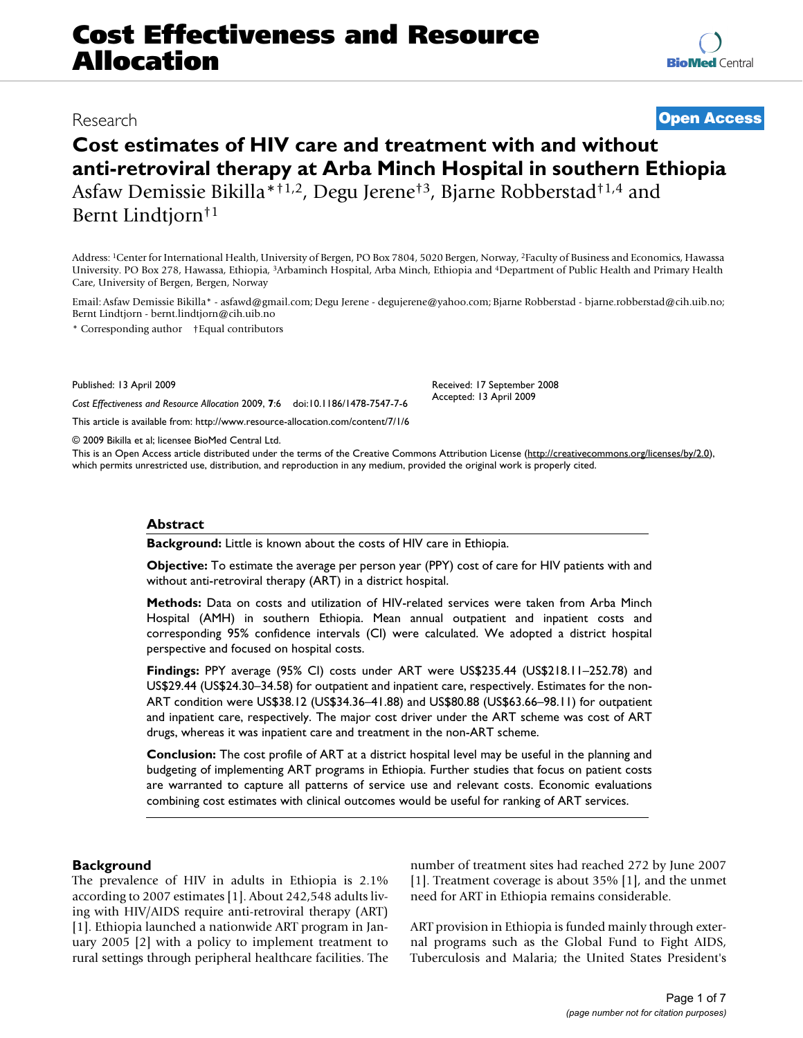# **Cost Effectiveness and Resource Allocation**

### Research **[Open Access](http://www.biomedcentral.com/info/about/charter/)**

## **Cost estimates of HIV care and treatment with and without anti-retroviral therapy at Arba Minch Hospital in southern Ethiopia** Asfaw Demissie Bikilla\*†1,2, Degu Jerene†3, Bjarne Robberstad†1,4 and

Bernt Lindtjorn†1

Address: 1Center for International Health, University of Bergen, PO Box 7804, 5020 Bergen, Norway, 2Faculty of Business and Economics, Hawassa University. PO Box 278, Hawassa, Ethiopia, 3Arbaminch Hospital, Arba Minch, Ethiopia and 4Department of Public Health and Primary Health Care, University of Bergen, Bergen, Norway

Email: Asfaw Demissie Bikilla\* - asfawd@gmail.com; Degu Jerene - degujerene@yahoo.com; Bjarne Robberstad - bjarne.robberstad@cih.uib.no; Bernt Lindtjorn - bernt.lindtjorn@cih.uib.no

\* Corresponding author †Equal contributors

Published: 13 April 2009

Received: 17 September 2008 Accepted: 13 April 2009

© 2009 Bikilla et al; licensee BioMed Central Ltd.

*Cost Effectiveness and Resource Allocation* 2009, **7**:6 doi:10.1186/1478-7547-7-6

[This article is available from: http://www.resource-allocation.com/content/7/1/6](http://www.resource-allocation.com/content/7/1/6)

This is an Open Access article distributed under the terms of the Creative Commons Attribution License [\(http://creativecommons.org/licenses/by/2.0\)](http://creativecommons.org/licenses/by/2.0), which permits unrestricted use, distribution, and reproduction in any medium, provided the original work is properly cited.

#### **Abstract**

**Background:** Little is known about the costs of HIV care in Ethiopia.

**Objective:** To estimate the average per person year (PPY) cost of care for HIV patients with and without anti-retroviral therapy (ART) in a district hospital.

**Methods:** Data on costs and utilization of HIV-related services were taken from Arba Minch Hospital (AMH) in southern Ethiopia. Mean annual outpatient and inpatient costs and corresponding 95% confidence intervals (CI) were calculated. We adopted a district hospital perspective and focused on hospital costs.

**Findings:** PPY average (95% CI) costs under ART were US\$235.44 (US\$218.11–252.78) and US\$29.44 (US\$24.30–34.58) for outpatient and inpatient care, respectively. Estimates for the non-ART condition were US\$38.12 (US\$34.36–41.88) and US\$80.88 (US\$63.66–98.11) for outpatient and inpatient care, respectively. The major cost driver under the ART scheme was cost of ART drugs, whereas it was inpatient care and treatment in the non-ART scheme.

**Conclusion:** The cost profile of ART at a district hospital level may be useful in the planning and budgeting of implementing ART programs in Ethiopia. Further studies that focus on patient costs are warranted to capture all patterns of service use and relevant costs. Economic evaluations combining cost estimates with clinical outcomes would be useful for ranking of ART services.

#### **Background**

The prevalence of HIV in adults in Ethiopia is 2.1% according to 2007 estimates [1]. About 242,548 adults living with HIV/AIDS require anti-retroviral therapy (ART) [1]. Ethiopia launched a nationwide ART program in January 2005 [2] with a policy to implement treatment to rural settings through peripheral healthcare facilities. The number of treatment sites had reached 272 by June 2007 [1]. Treatment coverage is about 35% [1], and the unmet need for ART in Ethiopia remains considerable.

ART provision in Ethiopia is funded mainly through external programs such as the Global Fund to Fight AIDS, Tuberculosis and Malaria; the United States President's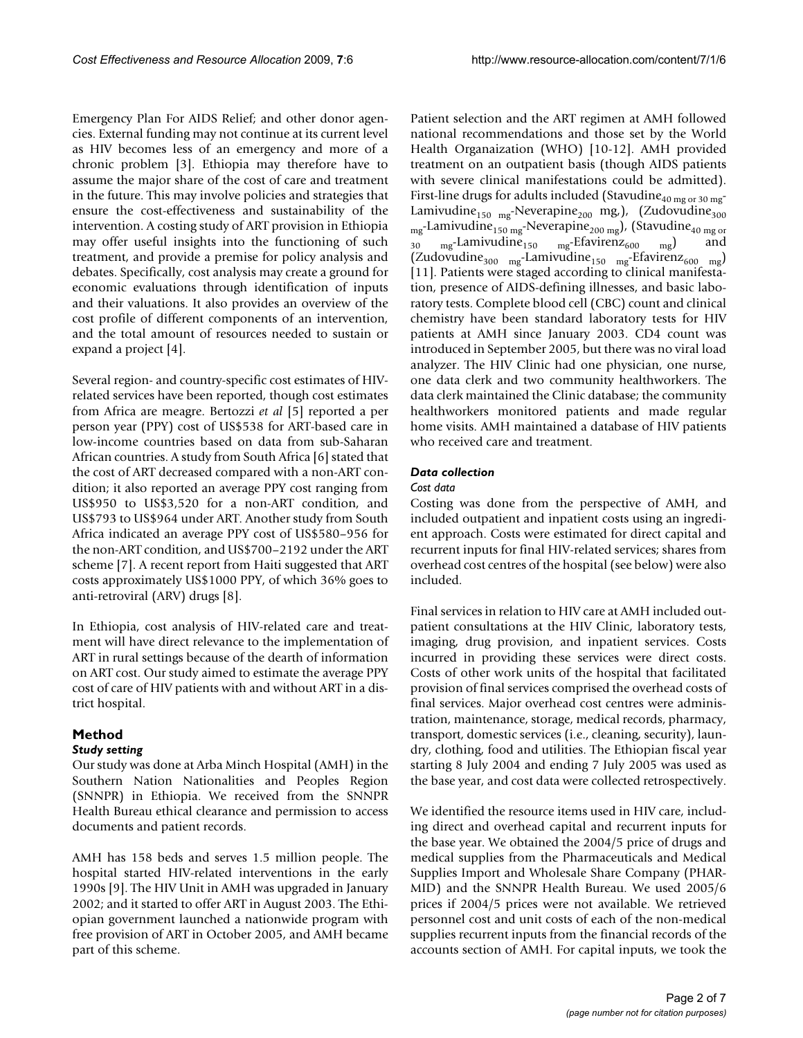Emergency Plan For AIDS Relief; and other donor agencies. External funding may not continue at its current level as HIV becomes less of an emergency and more of a chronic problem [3]. Ethiopia may therefore have to assume the major share of the cost of care and treatment in the future. This may involve policies and strategies that ensure the cost-effectiveness and sustainability of the intervention. A costing study of ART provision in Ethiopia may offer useful insights into the functioning of such treatment, and provide a premise for policy analysis and debates. Specifically, cost analysis may create a ground for economic evaluations through identification of inputs and their valuations. It also provides an overview of the cost profile of different components of an intervention, and the total amount of resources needed to sustain or expand a project [4].

Several region- and country-specific cost estimates of HIVrelated services have been reported, though cost estimates from Africa are meagre. Bertozzi *et al* [5] reported a per person year (PPY) cost of US\$538 for ART-based care in low-income countries based on data from sub-Saharan African countries. A study from South Africa [6] stated that the cost of ART decreased compared with a non-ART condition; it also reported an average PPY cost ranging from US\$950 to US\$3,520 for a non-ART condition, and US\$793 to US\$964 under ART. Another study from South Africa indicated an average PPY cost of US\$580–956 for the non-ART condition, and US\$700–2192 under the ART scheme [7]. A recent report from Haiti suggested that ART costs approximately US\$1000 PPY, of which 36% goes to anti-retroviral (ARV) drugs [8].

In Ethiopia, cost analysis of HIV-related care and treatment will have direct relevance to the implementation of ART in rural settings because of the dearth of information on ART cost. Our study aimed to estimate the average PPY cost of care of HIV patients with and without ART in a district hospital.

### **Method**

#### *Study setting*

Our study was done at Arba Minch Hospital (AMH) in the Southern Nation Nationalities and Peoples Region (SNNPR) in Ethiopia. We received from the SNNPR Health Bureau ethical clearance and permission to access documents and patient records.

AMH has 158 beds and serves 1.5 million people. The hospital started HIV-related interventions in the early 1990s [9]. The HIV Unit in AMH was upgraded in January 2002; and it started to offer ART in August 2003. The Ethiopian government launched a nationwide program with free provision of ART in October 2005, and AMH became part of this scheme.

Patient selection and the ART regimen at AMH followed national recommendations and those set by the World Health Organaization (WHO) [10-12]. AMH provided treatment on an outpatient basis (though AIDS patients with severe clinical manifestations could be admitted). First-line drugs for adults included (Stavudine<sub>40 mg or 30 mg</sub>-Lamivudine<sub>150 mg</sub>-Neverapine<sub>200</sub> mg,), (Zudovudine<sub>300</sub>  $_{\rm mg}$ -Lamivudine $_{150~{\rm mg}}$ -Neverapine $_{200~{\rm mg}}$ ), (Stavudine $_{40~{\rm mg}~{\rm or}}$ <sub>30 mg</sub>-Lamivudine<sub>150 mg</sub>-Efavirenz<sub>600 mg</sub>) and (Zudovudine<sub>300 mg</sub>-Lamivudine<sub>150 mg</sub>-Efavirenz<sub>600 mg</sub>) [11]. Patients were staged according to clinical manifestation, presence of AIDS-defining illnesses, and basic laboratory tests. Complete blood cell (CBC) count and clinical chemistry have been standard laboratory tests for HIV patients at AMH since January 2003. CD4 count was introduced in September 2005, but there was no viral load analyzer. The HIV Clinic had one physician, one nurse, one data clerk and two community healthworkers. The data clerk maintained the Clinic database; the community healthworkers monitored patients and made regular home visits. AMH maintained a database of HIV patients who received care and treatment.

#### *Data collection*

#### *Cost data*

Costing was done from the perspective of AMH, and included outpatient and inpatient costs using an ingredient approach. Costs were estimated for direct capital and recurrent inputs for final HIV-related services; shares from overhead cost centres of the hospital (see below) were also included.

Final services in relation to HIV care at AMH included outpatient consultations at the HIV Clinic, laboratory tests, imaging, drug provision, and inpatient services. Costs incurred in providing these services were direct costs. Costs of other work units of the hospital that facilitated provision of final services comprised the overhead costs of final services. Major overhead cost centres were administration, maintenance, storage, medical records, pharmacy, transport, domestic services (i.e., cleaning, security), laundry, clothing, food and utilities. The Ethiopian fiscal year starting 8 July 2004 and ending 7 July 2005 was used as the base year, and cost data were collected retrospectively.

We identified the resource items used in HIV care, including direct and overhead capital and recurrent inputs for the base year. We obtained the 2004/5 price of drugs and medical supplies from the Pharmaceuticals and Medical Supplies Import and Wholesale Share Company (PHAR-MID) and the SNNPR Health Bureau. We used 2005/6 prices if 2004/5 prices were not available. We retrieved personnel cost and unit costs of each of the non-medical supplies recurrent inputs from the financial records of the accounts section of AMH. For capital inputs, we took the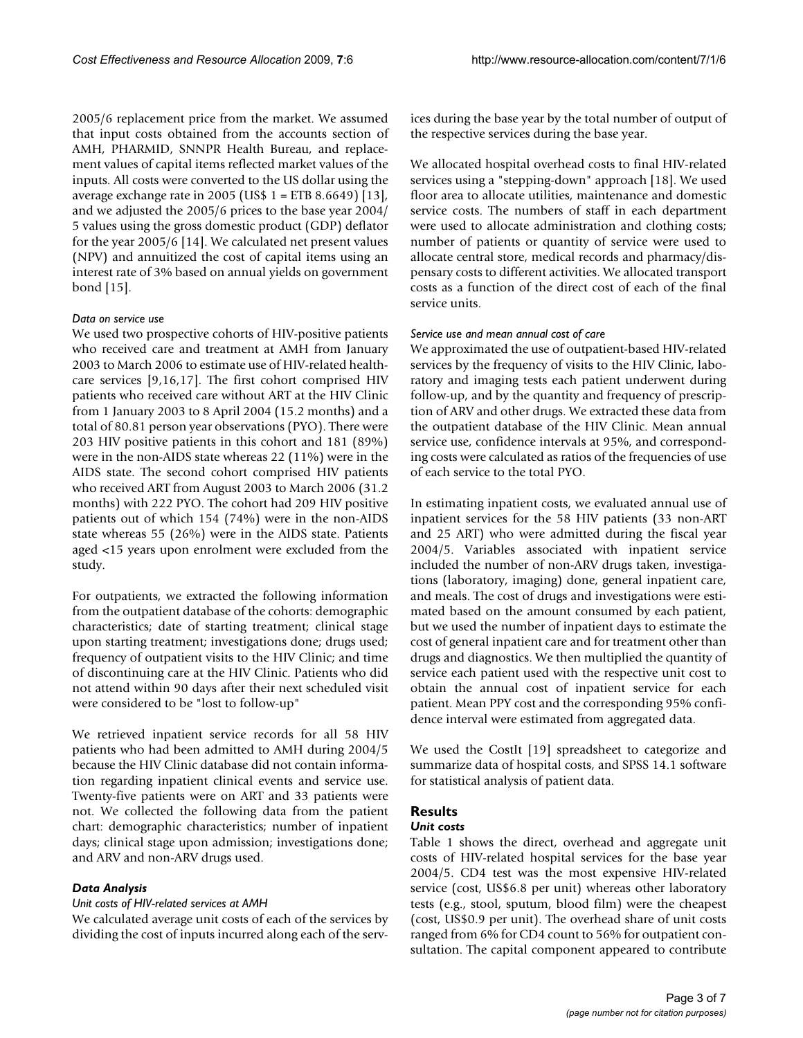2005/6 replacement price from the market. We assumed that input costs obtained from the accounts section of AMH, PHARMID, SNNPR Health Bureau, and replacement values of capital items reflected market values of the inputs. All costs were converted to the US dollar using the average exchange rate in 2005 (US\$ 1 = ETB 8.6649) [13], and we adjusted the 2005/6 prices to the base year 2004/ 5 values using the gross domestic product (GDP) deflator for the year 2005/6 [14]. We calculated net present values (NPV) and annuitized the cost of capital items using an interest rate of 3% based on annual yields on government bond [15].

#### *Data on service use*

We used two prospective cohorts of HIV-positive patients who received care and treatment at AMH from January 2003 to March 2006 to estimate use of HIV-related healthcare services [9,16,17]. The first cohort comprised HIV patients who received care without ART at the HIV Clinic from 1 January 2003 to 8 April 2004 (15.2 months) and a total of 80.81 person year observations (PYO). There were 203 HIV positive patients in this cohort and 181 (89%) were in the non-AIDS state whereas 22 (11%) were in the AIDS state. The second cohort comprised HIV patients who received ART from August 2003 to March 2006 (31.2 months) with 222 PYO. The cohort had 209 HIV positive patients out of which 154 (74%) were in the non-AIDS state whereas 55 (26%) were in the AIDS state. Patients aged <15 years upon enrolment were excluded from the study.

For outpatients, we extracted the following information from the outpatient database of the cohorts: demographic characteristics; date of starting treatment; clinical stage upon starting treatment; investigations done; drugs used; frequency of outpatient visits to the HIV Clinic; and time of discontinuing care at the HIV Clinic. Patients who did not attend within 90 days after their next scheduled visit were considered to be "lost to follow-up"

We retrieved inpatient service records for all 58 HIV patients who had been admitted to AMH during 2004/5 because the HIV Clinic database did not contain information regarding inpatient clinical events and service use. Twenty-five patients were on ART and 33 patients were not. We collected the following data from the patient chart: demographic characteristics; number of inpatient days; clinical stage upon admission; investigations done; and ARV and non-ARV drugs used.

### *Data Analysis*

#### *Unit costs of HIV-related services at AMH*

We calculated average unit costs of each of the services by dividing the cost of inputs incurred along each of the services during the base year by the total number of output of the respective services during the base year.

We allocated hospital overhead costs to final HIV-related services using a "stepping-down" approach [18]. We used floor area to allocate utilities, maintenance and domestic service costs. The numbers of staff in each department were used to allocate administration and clothing costs; number of patients or quantity of service were used to allocate central store, medical records and pharmacy/dispensary costs to different activities. We allocated transport costs as a function of the direct cost of each of the final service units.

#### *Service use and mean annual cost of care*

We approximated the use of outpatient-based HIV-related services by the frequency of visits to the HIV Clinic, laboratory and imaging tests each patient underwent during follow-up, and by the quantity and frequency of prescription of ARV and other drugs. We extracted these data from the outpatient database of the HIV Clinic. Mean annual service use, confidence intervals at 95%, and corresponding costs were calculated as ratios of the frequencies of use of each service to the total PYO.

In estimating inpatient costs, we evaluated annual use of inpatient services for the 58 HIV patients (33 non-ART and 25 ART) who were admitted during the fiscal year 2004/5. Variables associated with inpatient service included the number of non-ARV drugs taken, investigations (laboratory, imaging) done, general inpatient care, and meals. The cost of drugs and investigations were estimated based on the amount consumed by each patient, but we used the number of inpatient days to estimate the cost of general inpatient care and for treatment other than drugs and diagnostics. We then multiplied the quantity of service each patient used with the respective unit cost to obtain the annual cost of inpatient service for each patient. Mean PPY cost and the corresponding 95% confidence interval were estimated from aggregated data.

We used the CostIt [19] spreadsheet to categorize and summarize data of hospital costs, and SPSS 14.1 software for statistical analysis of patient data.

### **Results**

#### *Unit costs*

Table 1 shows the direct, overhead and aggregate unit costs of HIV-related hospital services for the base year 2004/5. CD4 test was the most expensive HIV-related service (cost, US\$6.8 per unit) whereas other laboratory tests (e.g., stool, sputum, blood film) were the cheapest (cost, US\$0.9 per unit). The overhead share of unit costs ranged from 6% for CD4 count to 56% for outpatient consultation. The capital component appeared to contribute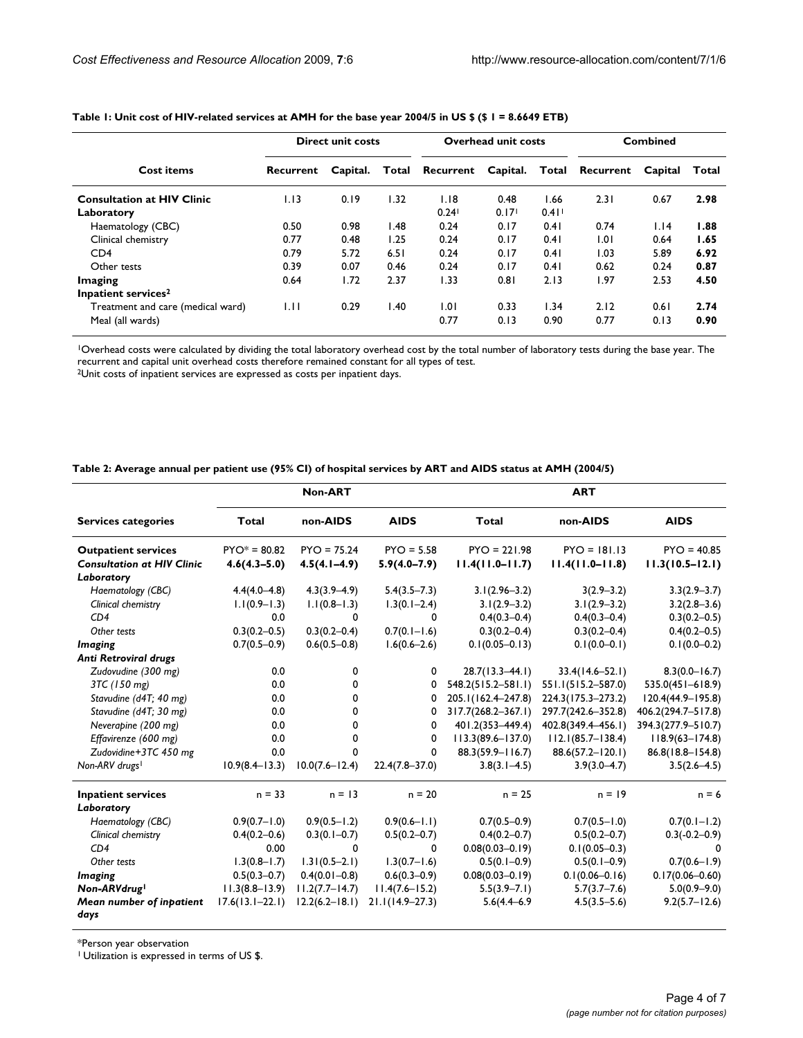|                                   | <b>Direct unit costs</b> |          |      | <b>Overhead unit costs</b> |                   |                     | Combined               |         |       |
|-----------------------------------|--------------------------|----------|------|----------------------------|-------------------|---------------------|------------------------|---------|-------|
| Cost items                        | Recurrent                | Capital. |      | <b>Total Recurrent</b>     | Capital.          |                     | <b>Total Recurrent</b> | Capital | Total |
| <b>Consultation at HIV Clinic</b> | 1.13                     | 0.19     | 1.32 | 1.18                       | 0.48              | 1.66                | 2.31                   | 0.67    | 2.98  |
| Laboratory                        |                          |          |      | $0.24$ <sup>1</sup>        | 0.17 <sup>1</sup> | $0.41$ <sup>1</sup> |                        |         |       |
| Haematology (CBC)                 | 0.50                     | 0.98     | I.48 | 0.24                       | 0.17              | 0.41                | 0.74                   | 1.14    | 1.88  |
| Clinical chemistry                | 0.77                     | 0.48     | 1.25 | 0.24                       | 0.17              | 0.41                | 1.01                   | 0.64    | 1.65  |
| CD4                               | 0.79                     | 5.72     | 6.51 | 0.24                       | 0.17              | 0.41                | 1.03                   | 5.89    | 6.92  |
| Other tests                       | 0.39                     | 0.07     | 0.46 | 0.24                       | 0.17              | 0.41                | 0.62                   | 0.24    | 0.87  |
| <b>Imaging</b>                    | 0.64                     | 1.72     | 2.37 | 1.33                       | 0.81              | 2.13                | I.97                   | 2.53    | 4.50  |
| Inpatient services <sup>2</sup>   |                          |          |      |                            |                   |                     |                        |         |       |
| Treatment and care (medical ward) | 1.11                     | 0.29     | l.40 | 1.01                       | 0.33              | 1.34                | 2.12                   | 0.61    | 2.74  |
| Meal (all wards)                  |                          |          |      | 0.77                       | 0.13              | 0.90                | 0.77                   | 0.13    | 0.90  |

#### **Table 1: Unit cost of HIV-related services at AMH for the base year 2004/5 in US \$ (\$ 1 = 8.6649 ETB)**

1Overhead costs were calculated by dividing the total laboratory overhead cost by the total number of laboratory tests during the base year. The recurrent and capital unit overhead costs therefore remained constant for all types of test.

2Unit costs of inpatient services are expressed as costs per inpatient days.

### **Table 2: Average annual per patient use (95% CI) of hospital services by ART and AIDS status at AMH (2004/5)**

|                                   | <b>Non-ART</b>      |                    |                     | <b>ART</b>             |                       |                       |  |
|-----------------------------------|---------------------|--------------------|---------------------|------------------------|-----------------------|-----------------------|--|
| <b>Services categories</b>        | <b>Total</b>        | non-AIDS           | <b>AIDS</b>         | Total                  | non-AIDS              | <b>AIDS</b>           |  |
| <b>Outpatient services</b>        | $PYO* = 80.82$      | $PYO = 75.24$      | $PYO = 5.58$        | $PYO = 221.98$         | $PYO = 181.13$        | $PYO = 40.85$         |  |
| <b>Consultation at HIV Clinic</b> | $4.6(4.3 - 5.0)$    | $4.5(4.1 - 4.9)$   | $5.9(4.0 - 7.9)$    | $11.4(11.0 - 11.7)$    | $11.4(11.0 - 11.8)$   | $11.3(10.5 - 12.1)$   |  |
| Laboratory                        |                     |                    |                     |                        |                       |                       |  |
| Haematology (CBC)                 | $4.4(4.0 - 4.8)$    | $4.3(3.9 - 4.9)$   | $5.4(3.5 - 7.3)$    | $3.1(2.96 - 3.2)$      | $3(2.9 - 3.2)$        | $3.3(2.9 - 3.7)$      |  |
| Clinical chemistry                | $1.1(0.9-1.3)$      | $1.1(0.8-1.3)$     | $1.3(0.1 - 2.4)$    | $3.1(2.9 - 3.2)$       | $3.1(2.9 - 3.2)$      | $3.2(2.8 - 3.6)$      |  |
| CD4                               | 0.0                 | 0                  | 0                   | $0.4(0.3 - 0.4)$       | $0.4(0.3-0.4)$        | $0.3(0.2 - 0.5)$      |  |
| Other tests                       | $0.3(0.2 - 0.5)$    | $0.3(0.2 - 0.4)$   | $0.7(0.1 - 1.6)$    | $0.3(0.2 - 0.4)$       | $0.3(0.2 - 0.4)$      | $0.4(0.2 - 0.5)$      |  |
| Imaging                           | $0.7(0.5-0.9)$      | $0.6(0.5-0.8)$     | $1.6(0.6 - 2.6)$    | $0.1(0.05 - 0.13)$     | $0.1(0.0-0.1)$        | $0.1(0.0-0.2)$        |  |
| <b>Anti Retroviral drugs</b>      |                     |                    |                     |                        |                       |                       |  |
| Zudovudine (300 mg)               | 0.0                 | 0                  | 0                   | $28.7(13.3 - 44.1)$    | $33.4(14.6 - 52.1)$   | $8.3(0.0 - 16.7)$     |  |
| 3TC (150 mg)                      | 0.0                 | 0                  | 0                   | $548.2(515.2 - 581.1)$ | 551.1(515.2–587.0)    | 535.0(451-618.9)      |  |
| Stavudine (d4T; 40 mg)            | 0.0                 | 0                  | 0                   | 205.1(162.4-247.8)     | 224.3(175.3-273.2)    | $120.4(44.9 - 195.8)$ |  |
| Stavudine (d4T; 30 mg)            | 0.0                 | 0                  | 0                   | $317.7(268.2 - 367.1)$ | 297.7(242.6-352.8)    | 406.2(294.7-517.8)    |  |
| Neverapine (200 mg)               | 0.0                 | 0                  | 0                   | 401.2(353-449.4)       | 402.8(349.4-456.1)    | 394.3(277.9-510.7)    |  |
| Effavirenze (600 mg)              | 0.0                 | 0                  | 0                   | $113.3(89.6 - 137.0)$  | $112.1(85.7 - 138.4)$ | $118.9(63 - 174.8)$   |  |
| Zudovidine+3TC 450 mg             | 0.0                 | 0                  | 0                   | 88.3(59.9-116.7)       | $88.6(57.2 - 120.1)$  | 86.8(18.8-154.8)      |  |
| Non-ARV drugs <sup>1</sup>        | $10.9(8.4 - 13.3)$  | $10.0(7.6 - 12.4)$ | $22.4(7.8 - 37.0)$  | $3.8(3.1 - 4.5)$       | $3.9(3.0 - 4.7)$      | $3.5(2.6 - 4.5)$      |  |
| <b>Inpatient services</b>         | $n = 33$            | $n = 13$           | $n = 20$            | $n = 25$               | $n = 19$              | $n = 6$               |  |
| Laboratory                        |                     |                    |                     |                        |                       |                       |  |
| Haematology (CBC)                 | $0.9(0.7 - 1.0)$    | $0.9(0.5 - 1.2)$   | $0.9(0.6 - 1.1)$    | $0.7(0.5-0.9)$         | $0.7(0.5 - 1.0)$      | $0.7(0.1 - 1.2)$      |  |
| Clinical chemistry                | $0.4(0.2-0.6)$      | $0.3(0.1 - 0.7)$   | $0.5(0.2 - 0.7)$    | $0.4(0.2 - 0.7)$       | $0.5(0.2 - 0.7)$      | $0.3(-0.2-0.9)$       |  |
| CD4                               | 0.00                | 0                  | 0                   | $0.08(0.03 - 0.19)$    | $0.1(0.05 - 0.3)$     | $\mathbf 0$           |  |
| Other tests                       | $1.3(0.8 - 1.7)$    | $1.31(0.5-2.1)$    | $1.3(0.7 - 1.6)$    | $0.5(0.1 - 0.9)$       | $0.5(0.1-0.9)$        | $0.7(0.6 - 1.9)$      |  |
| Imaging                           | $0.5(0.3 - 0.7)$    | $0.4(0.01 - 0.8)$  | $0.6(0.3-0.9)$      | $0.08(0.03 - 0.19)$    | $0.1(0.06 - 0.16)$    | $0.17(0.06 - 0.60)$   |  |
| Non-ARVdrug <sup>1</sup>          | $11.3(8.8 - 13.9)$  | $11.2(7.7 - 14.7)$ | $11.4(7.6 - 15.2)$  | $5.5(3.9 - 7.1)$       | $5.7(3.7 - 7.6)$      | $5.0(0.9 - 9.0)$      |  |
| Mean number of inpatient<br>days  | $17.6(13.1 - 22.1)$ | $12.2(6.2 - 18.1)$ | $21.1(14.9 - 27.3)$ | $5.6(4.4 - 6.9)$       | $4.5(3.5 - 5.6)$      | $9.2(5.7 - 12.6)$     |  |

\*Person year observation

1 Utilization is expressed in terms of US \$.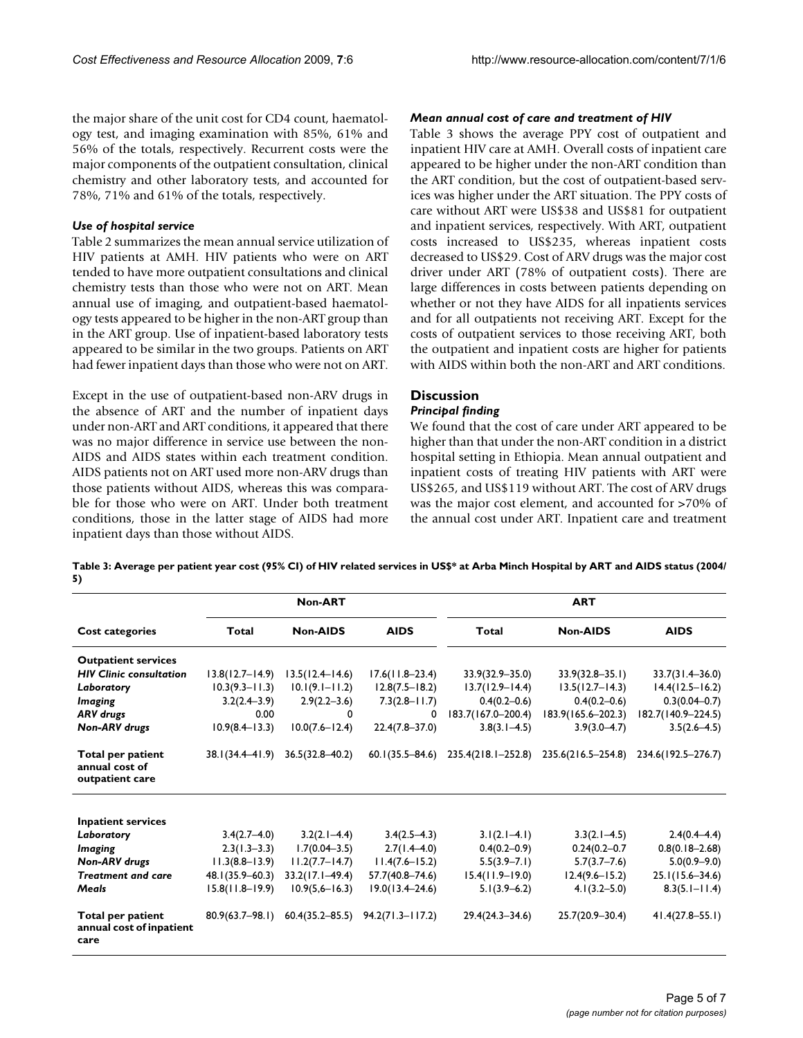the major share of the unit cost for CD4 count, haematology test, and imaging examination with 85%, 61% and 56% of the totals, respectively. Recurrent costs were the major components of the outpatient consultation, clinical chemistry and other laboratory tests, and accounted for 78%, 71% and 61% of the totals, respectively.

#### *Use of hospital service*

Table 2 summarizes the mean annual service utilization of HIV patients at AMH. HIV patients who were on ART tended to have more outpatient consultations and clinical chemistry tests than those who were not on ART. Mean annual use of imaging, and outpatient-based haematology tests appeared to be higher in the non-ART group than in the ART group. Use of inpatient-based laboratory tests appeared to be similar in the two groups. Patients on ART had fewer inpatient days than those who were not on ART.

Except in the use of outpatient-based non-ARV drugs in the absence of ART and the number of inpatient days under non-ART and ART conditions, it appeared that there was no major difference in service use between the non-AIDS and AIDS states within each treatment condition. AIDS patients not on ART used more non-ARV drugs than those patients without AIDS, whereas this was comparable for those who were on ART. Under both treatment conditions, those in the latter stage of AIDS had more inpatient days than those without AIDS.

#### *Mean annual cost of care and treatment of HIV*

Table 3 shows the average PPY cost of outpatient and inpatient HIV care at AMH. Overall costs of inpatient care appeared to be higher under the non-ART condition than the ART condition, but the cost of outpatient-based services was higher under the ART situation. The PPY costs of care without ART were US\$38 and US\$81 for outpatient and inpatient services, respectively. With ART, outpatient costs increased to US\$235, whereas inpatient costs decreased to US\$29. Cost of ARV drugs was the major cost driver under ART (78% of outpatient costs). There are large differences in costs between patients depending on whether or not they have AIDS for all inpatients services and for all outpatients not receiving ART. Except for the costs of outpatient services to those receiving ART, both the outpatient and inpatient costs are higher for patients with AIDS within both the non-ART and ART conditions.

#### **Discussion** *Principal finding*

We found that the cost of care under ART appeared to be higher than that under the non-ART condition in a district hospital setting in Ethiopia. Mean annual outpatient and inpatient costs of treating HIV patients with ART were US\$265, and US\$119 without ART. The cost of ARV drugs was the major cost element, and accounted for >70% of the annual cost under ART. Inpatient care and treatment

| Table 3: Average per patient year cost (95% CI) of HIV related services in US\$* at Arba Minch Hospital by ART and AIDS status (2004/ |  |  |
|---------------------------------------------------------------------------------------------------------------------------------------|--|--|
|                                                                                                                                       |  |  |

|                                                        | Non-ART             |                     |                      | <b>ART</b>             |                     |                     |  |
|--------------------------------------------------------|---------------------|---------------------|----------------------|------------------------|---------------------|---------------------|--|
| <b>Cost categories</b>                                 | Total               | <b>Non-AIDS</b>     | <b>AIDS</b>          | Total                  | <b>Non-AIDS</b>     | <b>AIDS</b>         |  |
| <b>Outpatient services</b>                             |                     |                     |                      |                        |                     |                     |  |
| <b>HIV Clinic consultation</b>                         | $13.8(12.7 - 14.9)$ | $13.5(12.4 - 14.6)$ | $17.6(11.8-23.4)$    | $33.9(32.9 - 35.0)$    | $33.9(32.8 - 35.1)$ | $33.7(31.4 - 36.0)$ |  |
| Laboratory                                             | $10.3(9.3 - 11.3)$  | $10.1(9.1 - 11.2)$  | $12.8(7.5 - 18.2)$   | $13.7(12.9 - 14.4)$    | $13.5(12.7 - 14.3)$ | $14.4(12.5 - 16.2)$ |  |
| Imaging                                                | $3.2(2.4 - 3.9)$    | $2.9(2.2 - 3.6)$    | $7.3(2.8 - 11.7)$    | $0.4(0.2-0.6)$         | $0.4(0.2 - 0.6)$    | $0.3(0.04 - 0.7)$   |  |
| <b>ARV</b> drugs                                       | 0.00                | 0                   | 0                    | 183.7(167.0-200.4)     | 183.9(165.6-202.3)  | 182.7(140.9-224.5)  |  |
| <b>Non-ARV</b> drugs                                   | $10.9(8.4 - 13.3)$  | $10.0(7.6 - 12.4)$  | $22.4(7.8 - 37.0)$   | $3.8(3.1 - 4.5)$       | $3.9(3.0 - 4.7)$    | $3.5(2.6 - 4.5)$    |  |
| Total per patient<br>annual cost of<br>outpatient care | $38.1(34.4 - 41.9)$ | $36.5(32.8 - 40.2)$ | $60.1(35.5 - 84.6)$  | $235.4(218.1 - 252.8)$ | 235.6(216.5-254.8)  | 234.6(192.5-276.7)  |  |
| <b>Inpatient services</b>                              |                     |                     |                      |                        |                     |                     |  |
| Laboratory                                             | $3.4(2.7-4.0)$      | $3.2(2.1 - 4.4)$    | $3.4(2.5-4.3)$       | $3.1(2.1-4.1)$         | $3.3(2.1 - 4.5)$    | $2.4(0.4 - 4.4)$    |  |
| <b>Imaging</b>                                         | $2.3(1.3-3.3)$      | $1.7(0.04 - 3.5)$   | $2.7(1.4-4.0)$       | $0.4(0.2-0.9)$         | $0.24(0.2 - 0.7)$   | $0.8(0.18 - 2.68)$  |  |
| <b>Non-ARV</b> drugs                                   | $11.3(8.8 - 13.9)$  | $11.2(7.7 - 14.7)$  | $11.4(7.6 - 15.2)$   | $5.5(3.9 - 7.1)$       | $5.7(3.7 - 7.6)$    | $5.0(0.9 - 9.0)$    |  |
| <b>Treatment and care</b>                              | 48.1(35.9–60.3)     | 33.2(17.1–49.4)     | 57.7(40.8-74.6)      | $15.4(11.9 - 19.0)$    | $12.4(9.6 - 15.2)$  | $25.1(15.6 - 34.6)$ |  |
| Meals                                                  | $15.8(11.8 - 19.9)$ | $10.9(5,6 - 16.3)$  | $19.0(13.4 - 24.6)$  | $5.1(3.9 - 6.2)$       | $4.1(3.2 - 5.0)$    | $8.3(5.1 - 11.4)$   |  |
| Total per patient<br>annual cost of inpatient<br>care  | $80.9(63.7-98.1)$   | $60.4(35.2 - 85.5)$ | $94.2(71.3 - 117.2)$ | $29.4(24.3 - 34.6)$    | $25.7(20.9 - 30.4)$ | $41.4(27.8 - 55.1)$ |  |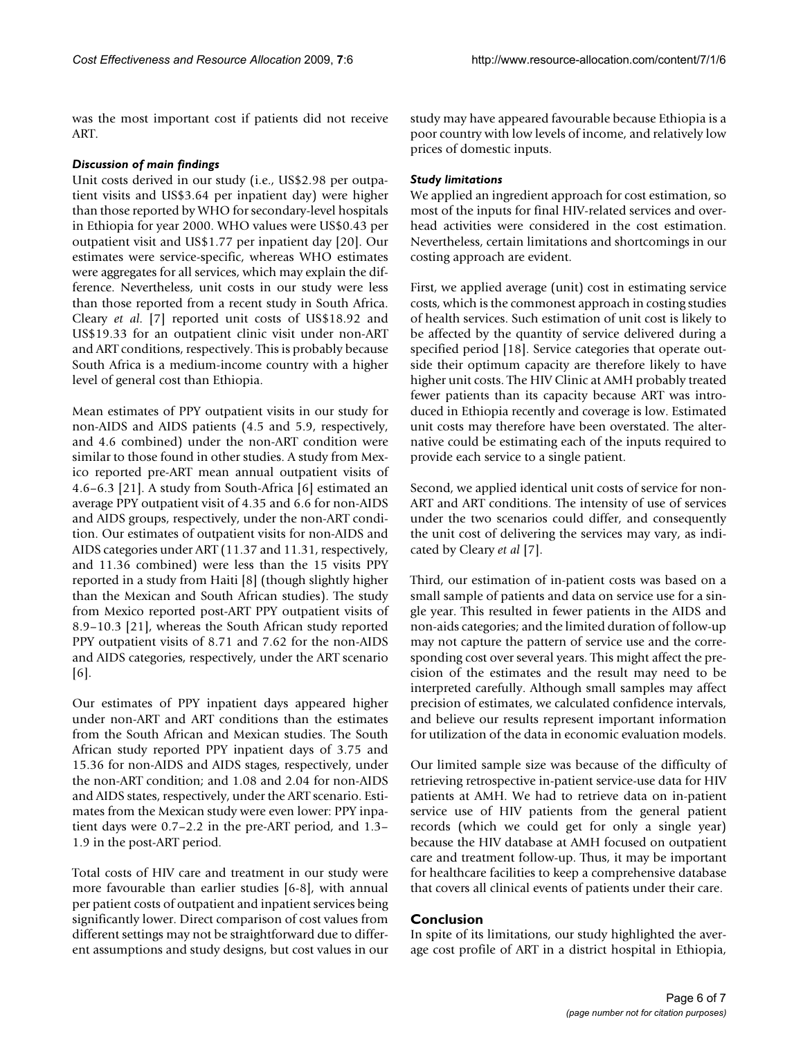was the most important cost if patients did not receive ART.

#### *Discussion of main findings*

Unit costs derived in our study (i.e., US\$2.98 per outpatient visits and US\$3.64 per inpatient day) were higher than those reported by WHO for secondary-level hospitals in Ethiopia for year 2000. WHO values were US\$0.43 per outpatient visit and US\$1.77 per inpatient day [20]. Our estimates were service-specific, whereas WHO estimates were aggregates for all services, which may explain the difference. Nevertheless, unit costs in our study were less than those reported from a recent study in South Africa. Cleary *et al*. [7] reported unit costs of US\$18.92 and US\$19.33 for an outpatient clinic visit under non-ART and ART conditions, respectively. This is probably because South Africa is a medium-income country with a higher level of general cost than Ethiopia.

Mean estimates of PPY outpatient visits in our study for non-AIDS and AIDS patients (4.5 and 5.9, respectively, and 4.6 combined) under the non-ART condition were similar to those found in other studies. A study from Mexico reported pre-ART mean annual outpatient visits of 4.6–6.3 [21]. A study from South-Africa [6] estimated an average PPY outpatient visit of 4.35 and 6.6 for non-AIDS and AIDS groups, respectively, under the non-ART condition. Our estimates of outpatient visits for non-AIDS and AIDS categories under ART (11.37 and 11.31, respectively, and 11.36 combined) were less than the 15 visits PPY reported in a study from Haiti [8] (though slightly higher than the Mexican and South African studies). The study from Mexico reported post-ART PPY outpatient visits of 8.9–10.3 [21], whereas the South African study reported PPY outpatient visits of 8.71 and 7.62 for the non-AIDS and AIDS categories, respectively, under the ART scenario [6].

Our estimates of PPY inpatient days appeared higher under non-ART and ART conditions than the estimates from the South African and Mexican studies. The South African study reported PPY inpatient days of 3.75 and 15.36 for non-AIDS and AIDS stages, respectively, under the non-ART condition; and 1.08 and 2.04 for non-AIDS and AIDS states, respectively, under the ART scenario. Estimates from the Mexican study were even lower: PPY inpatient days were 0.7–2.2 in the pre-ART period, and 1.3– 1.9 in the post-ART period.

Total costs of HIV care and treatment in our study were more favourable than earlier studies [6-8], with annual per patient costs of outpatient and inpatient services being significantly lower. Direct comparison of cost values from different settings may not be straightforward due to different assumptions and study designs, but cost values in our

study may have appeared favourable because Ethiopia is a poor country with low levels of income, and relatively low prices of domestic inputs.

#### *Study limitations*

We applied an ingredient approach for cost estimation, so most of the inputs for final HIV-related services and overhead activities were considered in the cost estimation. Nevertheless, certain limitations and shortcomings in our costing approach are evident.

First, we applied average (unit) cost in estimating service costs, which is the commonest approach in costing studies of health services. Such estimation of unit cost is likely to be affected by the quantity of service delivered during a specified period [18]. Service categories that operate outside their optimum capacity are therefore likely to have higher unit costs. The HIV Clinic at AMH probably treated fewer patients than its capacity because ART was introduced in Ethiopia recently and coverage is low. Estimated unit costs may therefore have been overstated. The alternative could be estimating each of the inputs required to provide each service to a single patient.

Second, we applied identical unit costs of service for non-ART and ART conditions. The intensity of use of services under the two scenarios could differ, and consequently the unit cost of delivering the services may vary, as indicated by Cleary *et al* [7].

Third, our estimation of in-patient costs was based on a small sample of patients and data on service use for a single year. This resulted in fewer patients in the AIDS and non-aids categories; and the limited duration of follow-up may not capture the pattern of service use and the corresponding cost over several years. This might affect the precision of the estimates and the result may need to be interpreted carefully. Although small samples may affect precision of estimates, we calculated confidence intervals, and believe our results represent important information for utilization of the data in economic evaluation models.

Our limited sample size was because of the difficulty of retrieving retrospective in-patient service-use data for HIV patients at AMH. We had to retrieve data on in-patient service use of HIV patients from the general patient records (which we could get for only a single year) because the HIV database at AMH focused on outpatient care and treatment follow-up. Thus, it may be important for healthcare facilities to keep a comprehensive database that covers all clinical events of patients under their care.

### **Conclusion**

In spite of its limitations, our study highlighted the average cost profile of ART in a district hospital in Ethiopia,